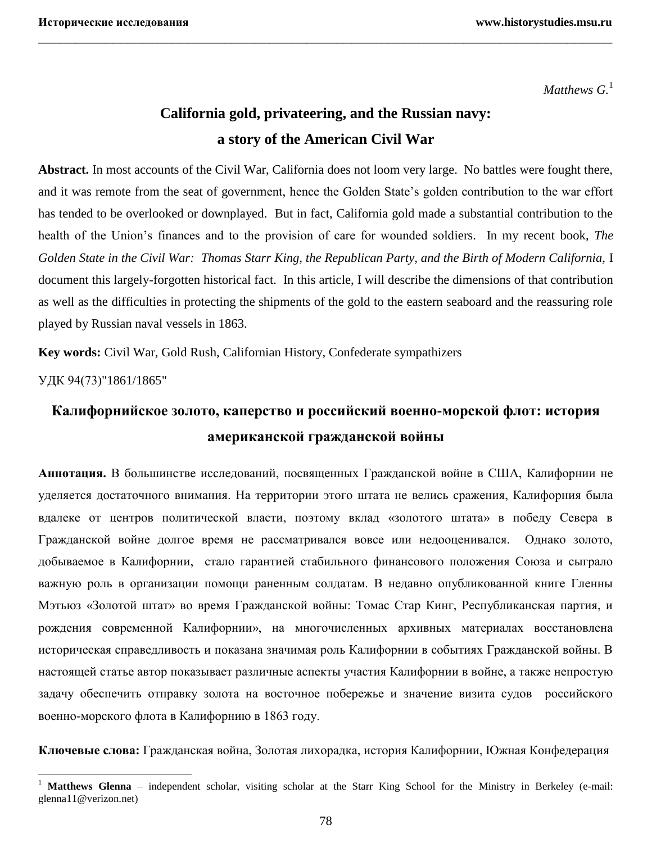*Matthews G.*<sup>1</sup>

## **California gold, privateering, and the Russian navy: a story of the American Civil War**

\_\_\_\_\_\_\_\_\_\_\_\_\_\_\_\_\_\_\_\_\_\_\_\_\_\_\_\_\_\_\_\_\_\_\_\_\_\_\_\_\_\_\_\_\_\_\_\_\_\_\_\_\_\_\_\_\_\_\_\_\_\_\_\_\_\_\_\_\_\_\_\_\_\_\_\_\_

**Abstract.** In most accounts of the Civil War, California does not loom very large. No battles were fought there, and it was remote from the seat of government, hence the Golden State's golden contribution to the war effort has tended to be overlooked or downplayed. But in fact, California gold made a substantial contribution to the health of the Union's finances and to the provision of care for wounded soldiers. In my recent book, *The Golden State in the Civil War: Thomas Starr King, the Republican Party, and the Birth of Modern California,* I document this largely-forgotten historical fact. In this article, I will describe the dimensions of that contribution as well as the difficulties in protecting the shipments of the gold to the eastern seaboard and the reassuring role played by Russian naval vessels in 1863.

**Key words:** Civil War, Gold Rush, Californian History, Confederate sympathizers

УДК 94(73)"1861/1865"

 $\overline{a}$ 

## **Калифорнийское золото, каперство и российский военно-морской флот: история американской гражданской войны**

**Аннотация.** В большинстве исследований, посвященных Гражданской войне в США, Калифорнии не уделяется достаточного внимания. На территории этого штата не велись сражения, Калифорния была вдалеке от центров политической власти, поэтому вклад «золотого штата» в победу Севера в Гражданской войне долгое время не рассматривался вовсе или недооценивался. Однако золото, добываемое в Калифорнии, стало гарантией стабильного финансового положения Союза и сыграло важную роль в организации помощи раненным солдатам. В недавно опубликованной книге Гленны Мэтьюз «Золотой штат» во время Гражданской войны: Томас Стар Кинг, Республиканская партия, и рождения современной Калифорнии», на многочисленных архивных материалах восстановлена историческая справедливость и показана значимая роль Калифорнии в событиях Гражданской войны. В настоящей статье автор показывает различные аспекты участия Калифорнии в войне, а также непростую задачу обеспечить отправку золота на восточное побережье и значение визита судов российского военно-морского флота в Калифорнию в 1863 году.

**Ключевые слова:** Гражданская война, Золотая лихорадка, история Калифорнии, Южная Конфедерация

<sup>1</sup> **Matthews Glenna** – independent scholar, visiting scholar at the Starr King School for the Ministry in Berkeley (e-mail: glenna11@verizon.net)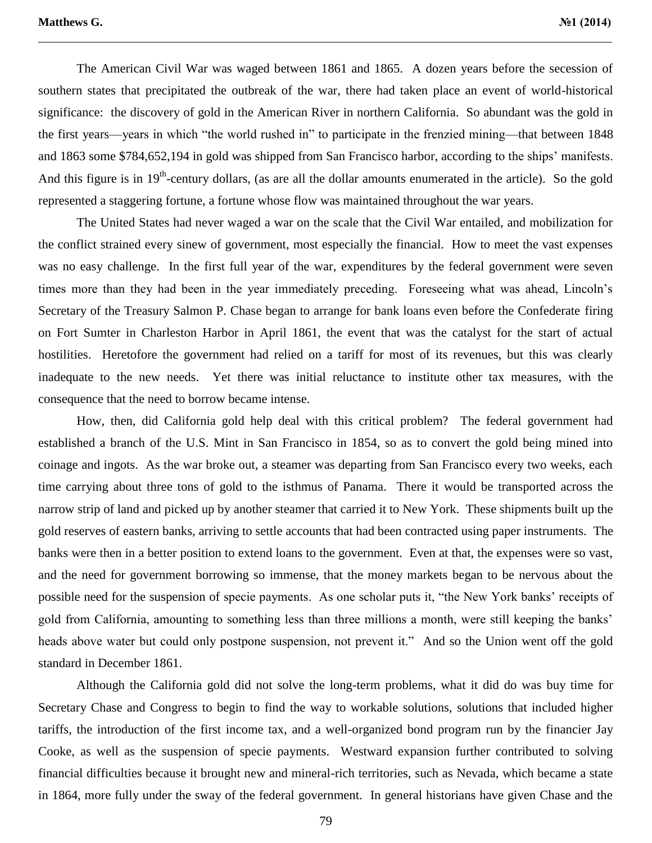The American Civil War was waged between 1861 and 1865. A dozen years before the secession of southern states that precipitated the outbreak of the war, there had taken place an event of world-historical significance: the discovery of gold in the American River in northern California. So abundant was the gold in the first years—years in which "the world rushed in" to participate in the frenzied mining—that between 1848 and 1863 some \$784,652,194 in gold was shipped from San Francisco harbor, according to the ships' manifests. And this figure is in  $19<sup>th</sup>$ -century dollars, (as are all the dollar amounts enumerated in the article). So the gold represented a staggering fortune, a fortune whose flow was maintained throughout the war years.

\_\_\_\_\_\_\_\_\_\_\_\_\_\_\_\_\_\_\_\_\_\_\_\_\_\_\_\_\_\_\_\_\_\_\_\_\_\_\_\_\_\_\_\_\_\_\_\_\_\_\_\_\_\_\_\_\_\_\_\_\_\_\_\_\_\_\_\_\_\_\_\_\_\_\_\_\_\_\_\_\_\_\_\_\_\_\_\_\_\_\_\_\_\_\_\_\_\_

The United States had never waged a war on the scale that the Civil War entailed, and mobilization for the conflict strained every sinew of government, most especially the financial. How to meet the vast expenses was no easy challenge. In the first full year of the war, expenditures by the federal government were seven times more than they had been in the year immediately preceding. Foreseeing what was ahead, Lincoln's Secretary of the Treasury Salmon P. Chase began to arrange for bank loans even before the Confederate firing on Fort Sumter in Charleston Harbor in April 1861, the event that was the catalyst for the start of actual hostilities. Heretofore the government had relied on a tariff for most of its revenues, but this was clearly inadequate to the new needs. Yet there was initial reluctance to institute other tax measures, with the consequence that the need to borrow became intense.

How, then, did California gold help deal with this critical problem? The federal government had established a branch of the U.S. Mint in San Francisco in 1854, so as to convert the gold being mined into coinage and ingots. As the war broke out, a steamer was departing from San Francisco every two weeks, each time carrying about three tons of gold to the isthmus of Panama. There it would be transported across the narrow strip of land and picked up by another steamer that carried it to New York. These shipments built up the gold reserves of eastern banks, arriving to settle accounts that had been contracted using paper instruments. The banks were then in a better position to extend loans to the government. Even at that, the expenses were so vast, and the need for government borrowing so immense, that the money markets began to be nervous about the possible need for the suspension of specie payments. As one scholar puts it, "the New York banks' receipts of gold from California, amounting to something less than three millions a month, were still keeping the banks' heads above water but could only postpone suspension, not prevent it." And so the Union went off the gold standard in December 1861.

Although the California gold did not solve the long-term problems, what it did do was buy time for Secretary Chase and Congress to begin to find the way to workable solutions, solutions that included higher tariffs, the introduction of the first income tax, and a well-organized bond program run by the financier Jay Cooke, as well as the suspension of specie payments. Westward expansion further contributed to solving financial difficulties because it brought new and mineral-rich territories, such as Nevada, which became a state in 1864, more fully under the sway of the federal government. In general historians have given Chase and the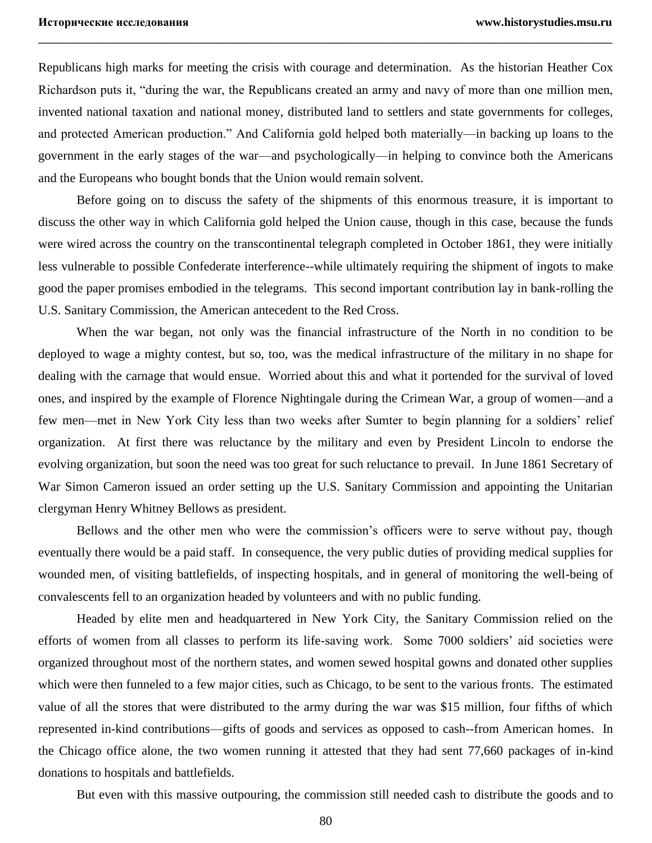Republicans high marks for meeting the crisis with courage and determination. As the historian Heather Cox Richardson puts it, "during the war, the Republicans created an army and navy of more than one million men, invented national taxation and national money, distributed land to settlers and state governments for colleges, and protected American production." And California gold helped both materially—in backing up loans to the government in the early stages of the war—and psychologically—in helping to convince both the Americans and the Europeans who bought bonds that the Union would remain solvent.

\_\_\_\_\_\_\_\_\_\_\_\_\_\_\_\_\_\_\_\_\_\_\_\_\_\_\_\_\_\_\_\_\_\_\_\_\_\_\_\_\_\_\_\_\_\_\_\_\_\_\_\_\_\_\_\_\_\_\_\_\_\_\_\_\_\_\_\_\_\_\_\_\_\_\_\_\_

Before going on to discuss the safety of the shipments of this enormous treasure, it is important to discuss the other way in which California gold helped the Union cause, though in this case, because the funds were wired across the country on the transcontinental telegraph completed in October 1861, they were initially less vulnerable to possible Confederate interference--while ultimately requiring the shipment of ingots to make good the paper promises embodied in the telegrams. This second important contribution lay in bank-rolling the U.S. Sanitary Commission, the American antecedent to the Red Cross.

When the war began, not only was the financial infrastructure of the North in no condition to be deployed to wage a mighty contest, but so, too, was the medical infrastructure of the military in no shape for dealing with the carnage that would ensue. Worried about this and what it portended for the survival of loved ones, and inspired by the example of Florence Nightingale during the Crimean War, a group of women—and a few men—met in New York City less than two weeks after Sumter to begin planning for a soldiers' relief organization. At first there was reluctance by the military and even by President Lincoln to endorse the evolving organization, but soon the need was too great for such reluctance to prevail. In June 1861 Secretary of War Simon Cameron issued an order setting up the U.S. Sanitary Commission and appointing the Unitarian clergyman Henry Whitney Bellows as president.

Bellows and the other men who were the commission's officers were to serve without pay, though eventually there would be a paid staff. In consequence, the very public duties of providing medical supplies for wounded men, of visiting battlefields, of inspecting hospitals, and in general of monitoring the well-being of convalescents fell to an organization headed by volunteers and with no public funding.

Headed by elite men and headquartered in New York City, the Sanitary Commission relied on the efforts of women from all classes to perform its life-saving work. Some 7000 soldiers' aid societies were organized throughout most of the northern states, and women sewed hospital gowns and donated other supplies which were then funneled to a few major cities, such as Chicago, to be sent to the various fronts. The estimated value of all the stores that were distributed to the army during the war was \$15 million, four fifths of which represented in-kind contributions—gifts of goods and services as opposed to cash--from American homes. In the Chicago office alone, the two women running it attested that they had sent 77,660 packages of in-kind donations to hospitals and battlefields.

But even with this massive outpouring, the commission still needed cash to distribute the goods and to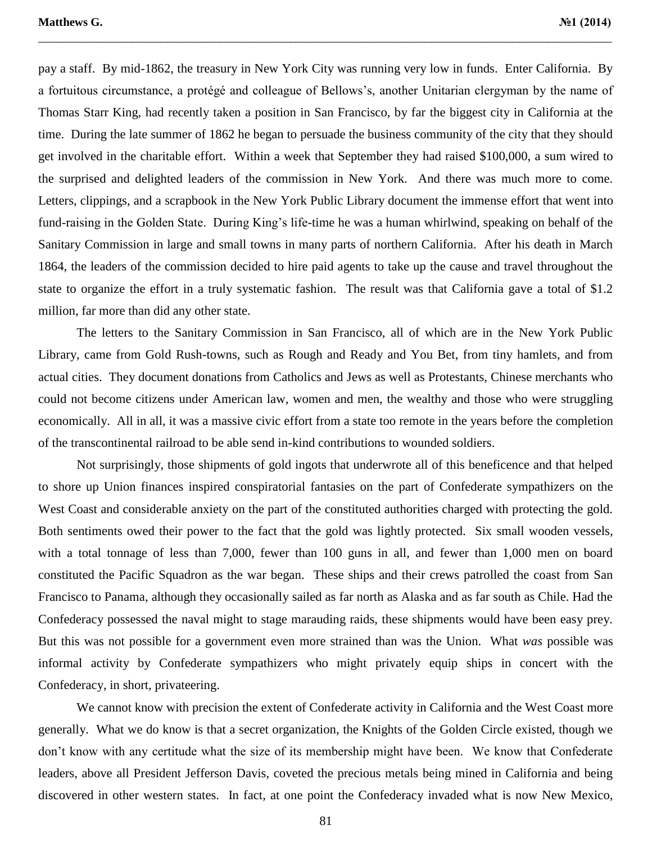pay a staff. By mid-1862, the treasury in New York City was running very low in funds. Enter California. By a fortuitous circumstance, a protégé and colleague of Bellows's, another Unitarian clergyman by the name of Thomas Starr King, had recently taken a position in San Francisco, by far the biggest city in California at the time. During the late summer of 1862 he began to persuade the business community of the city that they should get involved in the charitable effort. Within a week that September they had raised \$100,000, a sum wired to the surprised and delighted leaders of the commission in New York. And there was much more to come. Letters, clippings, and a scrapbook in the New York Public Library document the immense effort that went into fund-raising in the Golden State. During King's life-time he was a human whirlwind, speaking on behalf of the Sanitary Commission in large and small towns in many parts of northern California. After his death in March 1864, the leaders of the commission decided to hire paid agents to take up the cause and travel throughout the state to organize the effort in a truly systematic fashion. The result was that California gave a total of \$1.2 million, far more than did any other state.

\_\_\_\_\_\_\_\_\_\_\_\_\_\_\_\_\_\_\_\_\_\_\_\_\_\_\_\_\_\_\_\_\_\_\_\_\_\_\_\_\_\_\_\_\_\_\_\_\_\_\_\_\_\_\_\_\_\_\_\_\_\_\_\_\_\_\_\_\_\_\_\_\_\_\_\_\_\_\_\_\_\_\_\_\_\_\_\_\_\_\_\_\_\_\_\_\_\_

The letters to the Sanitary Commission in San Francisco, all of which are in the New York Public Library, came from Gold Rush-towns, such as Rough and Ready and You Bet, from tiny hamlets, and from actual cities. They document donations from Catholics and Jews as well as Protestants, Chinese merchants who could not become citizens under American law, women and men, the wealthy and those who were struggling economically. All in all, it was a massive civic effort from a state too remote in the years before the completion of the transcontinental railroad to be able send in-kind contributions to wounded soldiers.

Not surprisingly, those shipments of gold ingots that underwrote all of this beneficence and that helped to shore up Union finances inspired conspiratorial fantasies on the part of Confederate sympathizers on the West Coast and considerable anxiety on the part of the constituted authorities charged with protecting the gold. Both sentiments owed their power to the fact that the gold was lightly protected. Six small wooden vessels, with a total tonnage of less than 7,000, fewer than 100 guns in all, and fewer than 1,000 men on board constituted the Pacific Squadron as the war began. These ships and their crews patrolled the coast from San Francisco to Panama, although they occasionally sailed as far north as Alaska and as far south as Chile. Had the Confederacy possessed the naval might to stage marauding raids, these shipments would have been easy prey. But this was not possible for a government even more strained than was the Union. What *was* possible was informal activity by Confederate sympathizers who might privately equip ships in concert with the Confederacy, in short, privateering.

We cannot know with precision the extent of Confederate activity in California and the West Coast more generally. What we do know is that a secret organization, the Knights of the Golden Circle existed, though we don't know with any certitude what the size of its membership might have been. We know that Confederate leaders, above all President Jefferson Davis, coveted the precious metals being mined in California and being discovered in other western states. In fact, at one point the Confederacy invaded what is now New Mexico,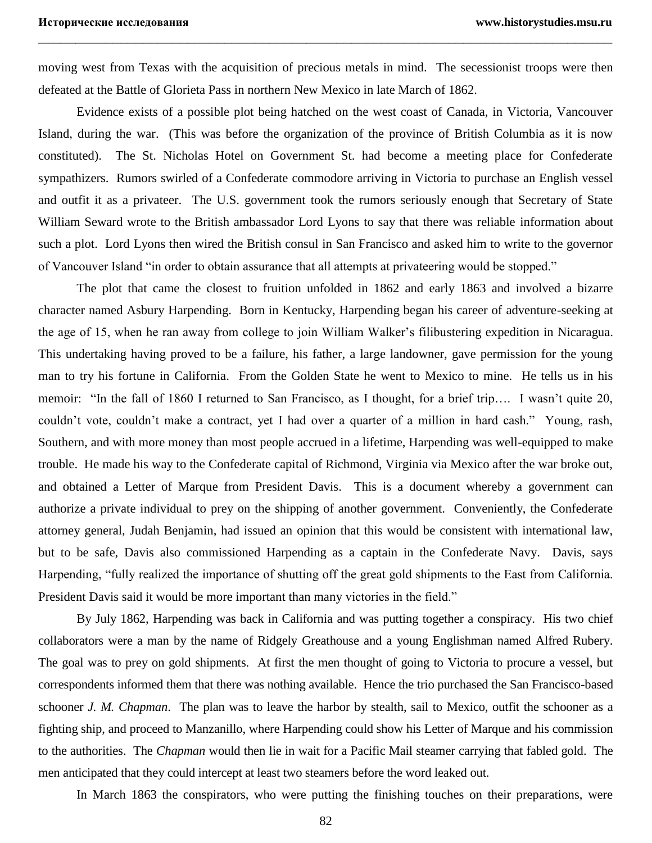moving west from Texas with the acquisition of precious metals in mind. The secessionist troops were then defeated at the Battle of Glorieta Pass in northern New Mexico in late March of 1862.

\_\_\_\_\_\_\_\_\_\_\_\_\_\_\_\_\_\_\_\_\_\_\_\_\_\_\_\_\_\_\_\_\_\_\_\_\_\_\_\_\_\_\_\_\_\_\_\_\_\_\_\_\_\_\_\_\_\_\_\_\_\_\_\_\_\_\_\_\_\_\_\_\_\_\_\_\_

Evidence exists of a possible plot being hatched on the west coast of Canada, in Victoria, Vancouver Island, during the war. (This was before the organization of the province of British Columbia as it is now constituted). The St. Nicholas Hotel on Government St. had become a meeting place for Confederate sympathizers. Rumors swirled of a Confederate commodore arriving in Victoria to purchase an English vessel and outfit it as a privateer. The U.S. government took the rumors seriously enough that Secretary of State William Seward wrote to the British ambassador Lord Lyons to say that there was reliable information about such a plot. Lord Lyons then wired the British consul in San Francisco and asked him to write to the governor of Vancouver Island "in order to obtain assurance that all attempts at privateering would be stopped."

The plot that came the closest to fruition unfolded in 1862 and early 1863 and involved a bizarre character named Asbury Harpending. Born in Kentucky, Harpending began his career of adventure-seeking at the age of 15, when he ran away from college to join William Walker's filibustering expedition in Nicaragua. This undertaking having proved to be a failure, his father, a large landowner, gave permission for the young man to try his fortune in California. From the Golden State he went to Mexico to mine. He tells us in his memoir: "In the fall of 1860 I returned to San Francisco, as I thought, for a brief trip…. I wasn't quite 20, couldn't vote, couldn't make a contract, yet I had over a quarter of a million in hard cash." Young, rash, Southern, and with more money than most people accrued in a lifetime, Harpending was well-equipped to make trouble. He made his way to the Confederate capital of Richmond, Virginia via Mexico after the war broke out, and obtained a Letter of Marque from President Davis. This is a document whereby a government can authorize a private individual to prey on the shipping of another government. Conveniently, the Confederate attorney general, Judah Benjamin, had issued an opinion that this would be consistent with international law, but to be safe, Davis also commissioned Harpending as a captain in the Confederate Navy. Davis, says Harpending, "fully realized the importance of shutting off the great gold shipments to the East from California. President Davis said it would be more important than many victories in the field."

By July 1862, Harpending was back in California and was putting together a conspiracy. His two chief collaborators were a man by the name of Ridgely Greathouse and a young Englishman named Alfred Rubery. The goal was to prey on gold shipments. At first the men thought of going to Victoria to procure a vessel, but correspondents informed them that there was nothing available. Hence the trio purchased the San Francisco-based schooner *J. M. Chapman*. The plan was to leave the harbor by stealth, sail to Mexico, outfit the schooner as a fighting ship, and proceed to Manzanillo, where Harpending could show his Letter of Marque and his commission to the authorities. The *Chapman* would then lie in wait for a Pacific Mail steamer carrying that fabled gold. The men anticipated that they could intercept at least two steamers before the word leaked out.

In March 1863 the conspirators, who were putting the finishing touches on their preparations, were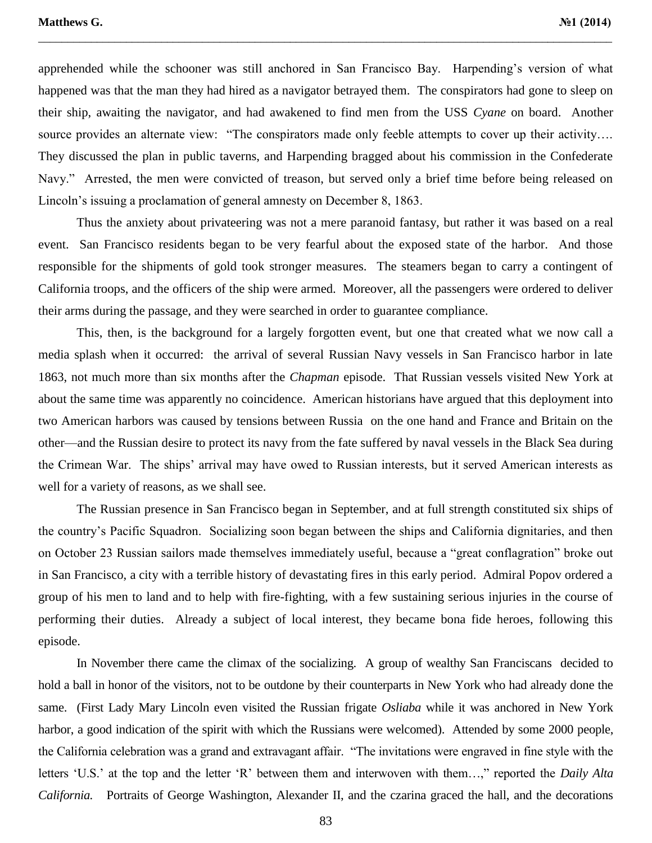apprehended while the schooner was still anchored in San Francisco Bay. Harpending's version of what happened was that the man they had hired as a navigator betrayed them. The conspirators had gone to sleep on their ship, awaiting the navigator, and had awakened to find men from the USS *Cyane* on board. Another source provides an alternate view: "The conspirators made only feeble attempts to cover up their activity.... They discussed the plan in public taverns, and Harpending bragged about his commission in the Confederate Navy." Arrested, the men were convicted of treason, but served only a brief time before being released on Lincoln's issuing a proclamation of general amnesty on December 8, 1863.

\_\_\_\_\_\_\_\_\_\_\_\_\_\_\_\_\_\_\_\_\_\_\_\_\_\_\_\_\_\_\_\_\_\_\_\_\_\_\_\_\_\_\_\_\_\_\_\_\_\_\_\_\_\_\_\_\_\_\_\_\_\_\_\_\_\_\_\_\_\_\_\_\_\_\_\_\_\_\_\_\_\_\_\_\_\_\_\_\_\_\_\_\_\_\_\_\_\_

Thus the anxiety about privateering was not a mere paranoid fantasy, but rather it was based on a real event. San Francisco residents began to be very fearful about the exposed state of the harbor. And those responsible for the shipments of gold took stronger measures. The steamers began to carry a contingent of California troops, and the officers of the ship were armed. Moreover, all the passengers were ordered to deliver their arms during the passage, and they were searched in order to guarantee compliance.

This, then, is the background for a largely forgotten event, but one that created what we now call a media splash when it occurred: the arrival of several Russian Navy vessels in San Francisco harbor in late 1863, not much more than six months after the *Chapman* episode. That Russian vessels visited New York at about the same time was apparently no coincidence. American historians have argued that this deployment into two American harbors was caused by tensions between Russia on the one hand and France and Britain on the other—and the Russian desire to protect its navy from the fate suffered by naval vessels in the Black Sea during the Crimean War. The ships' arrival may have owed to Russian interests, but it served American interests as well for a variety of reasons, as we shall see.

The Russian presence in San Francisco began in September, and at full strength constituted six ships of the country's Pacific Squadron. Socializing soon began between the ships and California dignitaries, and then on October 23 Russian sailors made themselves immediately useful, because a "great conflagration" broke out in San Francisco, a city with a terrible history of devastating fires in this early period. Admiral Popov ordered a group of his men to land and to help with fire-fighting, with a few sustaining serious injuries in the course of performing their duties. Already a subject of local interest, they became bona fide heroes, following this episode.

In November there came the climax of the socializing. A group of wealthy San Franciscans decided to hold a ball in honor of the visitors, not to be outdone by their counterparts in New York who had already done the same. (First Lady Mary Lincoln even visited the Russian frigate *Osliaba* while it was anchored in New York harbor, a good indication of the spirit with which the Russians were welcomed). Attended by some 2000 people, the California celebration was a grand and extravagant affair. "The invitations were engraved in fine style with the letters 'U.S.' at the top and the letter 'R' between them and interwoven with them…," reported the *Daily Alta California.* Portraits of George Washington, Alexander II, and the czarina graced the hall, and the decorations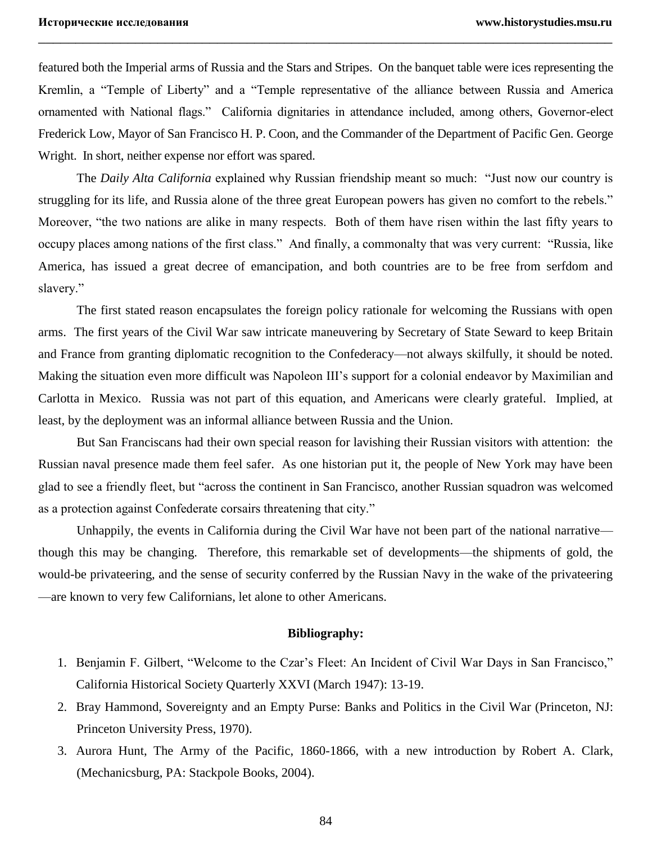featured both the Imperial arms of Russia and the Stars and Stripes. On the banquet table were ices representing the Kremlin, a "Temple of Liberty" and a "Temple representative of the alliance between Russia and America ornamented with National flags." California dignitaries in attendance included, among others, Governor-elect Frederick Low, Mayor of San Francisco H. P. Coon, and the Commander of the Department of Pacific Gen. George Wright. In short, neither expense nor effort was spared.

\_\_\_\_\_\_\_\_\_\_\_\_\_\_\_\_\_\_\_\_\_\_\_\_\_\_\_\_\_\_\_\_\_\_\_\_\_\_\_\_\_\_\_\_\_\_\_\_\_\_\_\_\_\_\_\_\_\_\_\_\_\_\_\_\_\_\_\_\_\_\_\_\_\_\_\_\_

The *Daily Alta California* explained why Russian friendship meant so much: "Just now our country is struggling for its life, and Russia alone of the three great European powers has given no comfort to the rebels." Moreover, "the two nations are alike in many respects. Both of them have risen within the last fifty years to occupy places among nations of the first class." And finally, a commonalty that was very current: "Russia, like America, has issued a great decree of emancipation, and both countries are to be free from serfdom and slavery."

The first stated reason encapsulates the foreign policy rationale for welcoming the Russians with open arms. The first years of the Civil War saw intricate maneuvering by Secretary of State Seward to keep Britain and France from granting diplomatic recognition to the Confederacy—not always skilfully, it should be noted. Making the situation even more difficult was Napoleon III's support for a colonial endeavor by Maximilian and Carlotta in Mexico. Russia was not part of this equation, and Americans were clearly grateful. Implied, at least, by the deployment was an informal alliance between Russia and the Union.

But San Franciscans had their own special reason for lavishing their Russian visitors with attention: the Russian naval presence made them feel safer. As one historian put it, the people of New York may have been glad to see a friendly fleet, but "across the continent in San Francisco, another Russian squadron was welcomed as a protection against Confederate corsairs threatening that city."

Unhappily, the events in California during the Civil War have not been part of the national narrative though this may be changing. Therefore, this remarkable set of developments—the shipments of gold, the would-be privateering, and the sense of security conferred by the Russian Navy in the wake of the privateering —are known to very few Californians, let alone to other Americans.

## **Bibliography:**

- 1. Benjamin F. Gilbert, "Welcome to the Czar's Fleet: An Incident of Civil War Days in San Francisco," California Historical Society Quarterly XXVI (March 1947): 13-19.
- 2. Bray Hammond, Sovereignty and an Empty Purse: Banks and Politics in the Civil War (Princeton, NJ: Princeton University Press, 1970).
- 3. Aurora Hunt, The Army of the Pacific, 1860-1866, with a new introduction by Robert A. Clark, (Mechanicsburg, PA: Stackpole Books, 2004).